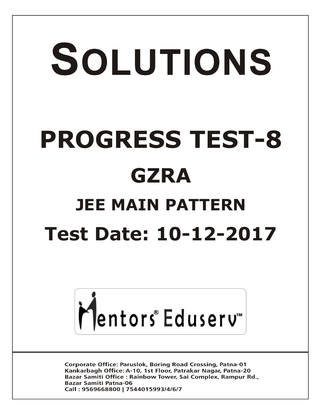# SOLUTIONS **PROGRESS TEST-8 GZRA JEE MAIN PATTERN Test Date: 10-12-2017**



**Corporate Office: Paruslok, Boring Road Crossing, Patna-01** Kankarbagh Office: A-10, 1st Floor, Patrakar Nagar, Patna-20 Bazar Samiti Office: Rainbow Tower, Sai Complex, Rampur Rd., **Bazar Samiti Patna-06** Call: 9569668800 | 7544015993/4/6/7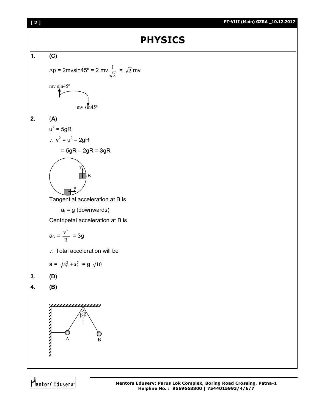

**[ 2 ] PT-VIII (Main) GZRA \_10.12.2017**

**Helpline No. : 9569668800 | 7544015993/4/6/7**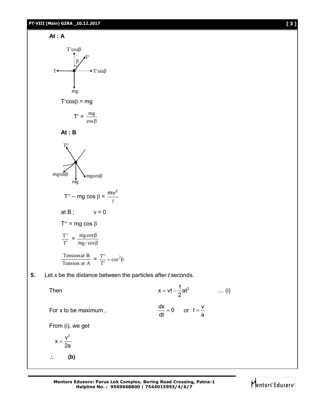



**5.** Let *x* be the distance between the particles after *t* seconds.

Then  $x = vt - \frac{1}{2}at^2$ 2  $= vt - \frac{1}{2}at^2$  ... (i)

For *x* to be maximum,

$$
\frac{dx}{dt} = 0 \qquad \text{or} \quad t = \frac{v}{a}
$$

From (i), we get

$$
x=\frac{v^2}{2a}
$$

**(b)**

**Mentors Eduserv: Parus Lok Complex, Boring Road Crossing, Patna-1 Helpline No. : 9569668800 | 7544015993/4/6/7**

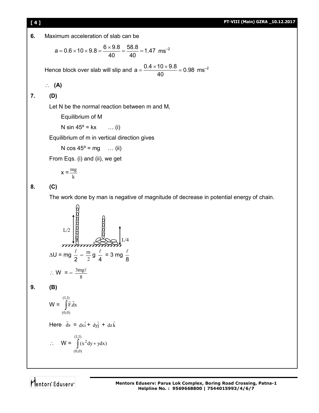

**6.** Maximum acceleration of slab can be

$$
a = 0.6 \times 10 \times 9.8 = \frac{6 \times 9.8}{40} = \frac{58.8}{40} = 1.47 \text{ ms}^{-2}
$$

Hence block over slab will slip and  $a = \frac{0.4 \times 10 \times 9.8}{10} = 0.98$ 40  $=\frac{0.4 \times 10 \times 9.8}{10}$  = 0.98 ms<sup>-2</sup>

$$
\therefore (A)
$$

# **7. (D)**

Let N be the normal reaction between m and M,

Equilibrium of M

N sin  $45^{\circ}$  = kx ... (i)

Equilibrium of m in vertical direction gives

N  $\cos 45^\circ = mg$  ... (ii)

From Eqs. (i) and (ii), we get

$$
x = \frac{mg}{k}
$$

# **8. (C)**

The work done by man is negative of magnitude of decrease in potential energy of chain.

$$
LU = \frac{1}{2} \frac{1}{2} \frac{1}{2} \frac{1}{4} = 3 \text{ mg} \frac{\ell}{8}
$$
  
\n
$$
LU = \frac{1}{2} \frac{1}{2} - \frac{1}{2} = \frac{1}{2} \frac{\ell}{8} = 3 \text{ mg} \frac{\ell}{8}
$$
  
\n
$$
U = -\frac{3}{2} \frac{1}{2} \frac{1}{2} = \frac{1}{2} \frac{1}{2} \frac{1}{4} = 3 \text{ mg} \frac{\ell}{8}
$$

$$
9. \qquad (B)
$$

$$
\mathsf{W} = \int\limits_{(0,0)}^{(1,1)} \vec{F} \cdot \vec{dx}
$$

Here ds  $\overline{\phantom{a}}$  $= dx\hat{i} + dy\hat{j} + dz\hat{k}$ 

8

$$
\therefore \quad \mathsf{W} = \int_{(0,0)}^{(1,1)} (x^2 dy + y dx)
$$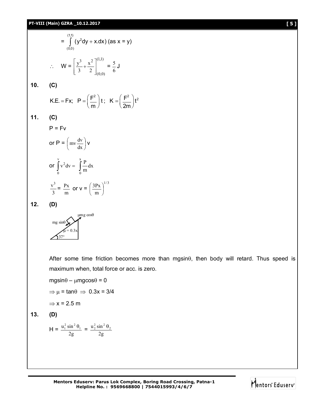#### **PT-VIII (Main) GZRA \_10.12.2017 [ 5 ]**

$$
= \int_{(0,0)}^{(1,1)} (y^2 dy + x dx) \text{ (as x = y)}
$$
  
∴ W =  $\left[ \frac{y^3}{3} + \frac{x^2}{2} \right]_{(0,0)}^{(1,1)} = \frac{5}{6} J$ 

# **10. (C)**

$$
K.E. = Fx; \quad P = \left(\frac{F^2}{m}\right)t; \quad K = \left(\frac{F^2}{2m}\right)t^2
$$

**11. (C)**

 $P = Fv$ 

 $\overline{a}$ 

or P = 
$$
\left(\text{mv}\frac{dv}{dx}\right)v
$$
  
\nor  $\int_{0}^{v} v^{2} dv = \int_{0}^{x} \frac{P}{m} dx$   
\n $\frac{v^{3}}{3} = \frac{Px}{m} \text{ or } v = \left(\frac{3Px}{m}\right)^{1/3}$ 

**12. (D)**



After some time friction becomes more than mgsin $\theta$ , then body will retard. Thus speed is maximum when, total force or acc. is zero.

 $mgsin\theta - \mu mgcos\theta = 0$ 

 $\Rightarrow \mu = \tan \theta \Rightarrow 0.3x = 3/4$ 

$$
\Rightarrow
$$
 x = 2.5 m

$$
13. (D)
$$

$$
H = \frac{u_1^2 \sin^2 \theta_1}{2g} = \frac{u_2^2 \sin^2 \theta_2}{2g}
$$

**Mentors Eduserv: Parus Lok Complex, Boring Road Crossing, Patna-1 Helpline No. : 9569668800 | 7544015993/4/6/7**

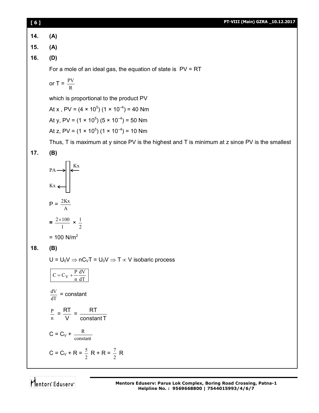| [6]       |  |  | PT-VIII (Main) GZRA _10.12.2017 |  |
|-----------|--|--|---------------------------------|--|
|           |  |  |                                 |  |
| 14. (A)   |  |  |                                 |  |
| 15. $(A)$ |  |  |                                 |  |
| 16. $(D)$ |  |  |                                 |  |
|           |  |  |                                 |  |

For a mole of an ideal gas, the equation of state is  $PV = RT$ 

or 
$$
T = \frac{PV}{R}
$$

which is proportional to the product PV

At x , PV = (4  $\times$  10<sup>5</sup>) (1  $\times$  10<sup>-4</sup>) = 40 Nm At y, PV = (1 × 10<sup>5</sup>) (5 × 10<sup>-4</sup>) = 50 Nm At z, PV = (1 × 10<sup>5</sup>) (1 × 10<sup>-4</sup>) = 10 Nm

Thus, T is maximum at y since PV is the highest and T is minimum at z since PV is the smallest

**17. (B)**



**18. (B)**

 $U = U_0 V \Rightarrow nC_V T = U_0 V \Rightarrow T \propto V$  isobaric process

$$
C = C_V + \frac{P}{n} \frac{dV}{dT}
$$
  

$$
\frac{dV}{dT} = \text{constant}
$$
  

$$
\frac{P}{n} = \frac{RT}{V} = \frac{RT}{\text{constant}}
$$
  

$$
C = C_V + \frac{R}{\text{constant}}
$$
  

$$
C = C_V + R = \frac{5}{2}R + R = \frac{7}{2}R
$$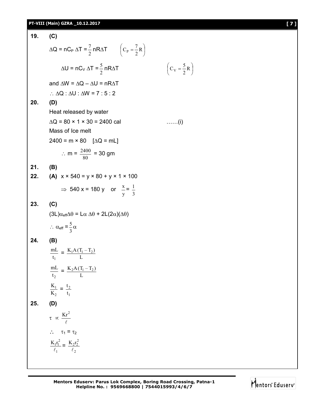# **PT-VIII (Main) GZRA \_10.12.2017 [ 7 ]**

19. (C)  
\n
$$
\Delta Q = nC_P \Delta T = \frac{7}{2} nR\Delta T \qquad (C_P = \frac{7}{2}R)
$$
\n
$$
\Delta U = nC_V \Delta T = \frac{5}{2} nR\Delta T \qquad (C_V = \frac{5}{2}R)
$$
\nand 
$$
\Delta W = \Delta Q - \Delta U = nR\Delta T
$$
\n
$$
\therefore \Delta Q : \Delta U : \Delta W = 7 : 5 : 2
$$
\n20. (D)  
\nHeat released by water  
\n
$$
\Delta Q = 80 \times 1 \times 30 = 2400 \text{ cal } \qquad .......(i)
$$
\nMass of Ice melt  
\n
$$
2400 = m \times 80 \quad [\Delta Q = mL]
$$
\n
$$
\therefore m = \frac{2400}{80} = 30 \text{ gm}
$$
\n21. (B)  
\n22. (A) 
$$
x \times 540 = y \times 80 + y \times 1 \times 100
$$
\n
$$
\Rightarrow 540 x = 180 y \text{ or } \frac{x}{y} = \frac{1}{3}
$$
\n23. (C)  
\n
$$
(3L)\alpha_{eff} \Delta \theta = L\alpha \Delta \theta + 2L(2\alpha)(\Delta \theta)
$$
\n
$$
\therefore \alpha_{eff} = \frac{5}{3}\alpha
$$
\n24. (B)  
\n
$$
\frac{mL}{t_1} = \frac{K_1 \Delta (T_1 - T_2)}{L}
$$
\n
$$
\frac{K_1}{t_2} = \frac{K_2 \Delta (T_1 - T_2)}{L}
$$
\n25. (D)  
\n
$$
\tau \propto \frac{Kr^2}{\ell}
$$
\n
$$
\therefore \tau_1 = \tau_2
$$
\n
$$
\frac{K_1 r_1^2}{\ell_1} = \frac{K_2 r_2^2}{\ell_2}
$$

Ј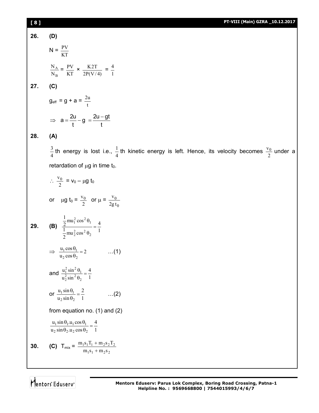# **[ 8 ] PT-VIII (Main) GZRA \_10.12.2017**

**26. (D)**

**27. (C)**

(D)  
\n
$$
N = \frac{PV}{KT}
$$
\n
$$
\frac{N_A}{N_B} = \frac{PV}{KT} \times \frac{K2T}{2P(V/4)} = 0
$$
\n(C)  
\n
$$
Q_{eff} = g + a = \frac{2u}{t}
$$

1 4

$$
\Rightarrow a = \frac{2u}{t} - g = \frac{2u - gt}{t}
$$

**28. (A)**

4  $\frac{3}{4}$  th energy is lost i.e.,  $\frac{1}{4}$  $\frac{1}{4}$ th kinetic energy is left. Hence, its velocity becomes  $\frac{v_0}{2}$  under a retardation of  $\mu$ g in time t<sub>0</sub>.

$$
\frac{v_0}{2} = v_0 - \mu g t_0
$$
  
or  $\mu g t_0 = \frac{v_0}{2}$  or  $\mu = \frac{v_0}{2g t_0}$   
29. **(B)**  $\frac{\frac{1}{2} m u_1^2 \cos^2 \theta_1}{\frac{1}{2} m u_2^2 \cos^2 \theta_2} = \frac{4}{1}$   
 $\Rightarrow \frac{u_1 \cos \theta_1}{u_2 \cos \theta_2} = 2$  ...(1)  
and  $\frac{u_1^2 \sin^2 \theta_1}{u_2^2 \sin^2 \theta_2} = \frac{4}{1}$   
or  $\frac{u_1 \sin \theta_1}{u_2 \sin \theta_2} = \frac{2}{1}$  ...(2)  
from equation no. (1) and (2)  
 $\frac{u_1 \sin \theta_1 u_1 \cos \theta_1}{u_2 \sin \theta_2 u_2 \cos \theta_2} = \frac{4}{1}$   
30. **(C)**  $T_{mix} = \frac{m_1 s_1 T_1 + m_2 s_2 T_2}{m_1 s_1 + m_2 s_2}$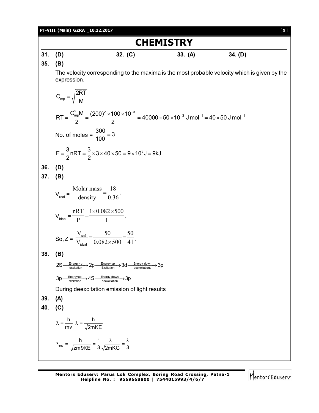| PT-VIII (Main) GZRA _10.12.2017<br>$[9]$ |                                                                                                                                                              |  |  |  |  |  |  |
|------------------------------------------|--------------------------------------------------------------------------------------------------------------------------------------------------------------|--|--|--|--|--|--|
| <b>CHEMISTRY</b>                         |                                                                                                                                                              |  |  |  |  |  |  |
| 31.                                      | (D)<br>32. (C)<br>34. (D)<br>33. (A)                                                                                                                         |  |  |  |  |  |  |
| 35.                                      | (B)                                                                                                                                                          |  |  |  |  |  |  |
|                                          | The velocity corresponding to the maxima is the most probable velocity which is given by the<br>expression.                                                  |  |  |  |  |  |  |
|                                          | $C_{mp} = \sqrt{\frac{2RT}{M}}$                                                                                                                              |  |  |  |  |  |  |
|                                          | $RT = \frac{C_{mp}^2 M}{2} = \frac{(200)^2 \times 100 \times 10^{-3}}{2} = 40000 \times 50 \times 10^{-3}$ J mol <sup>-1</sup> = 40 × 50 J mol <sup>-1</sup> |  |  |  |  |  |  |
|                                          | No. of moles = $\frac{300}{100}$ = 3                                                                                                                         |  |  |  |  |  |  |
|                                          | $E = \frac{3}{2}$ nRT = $\frac{3}{2} \times 3 \times 40 \times 50 = 9 \times 10^3$ J = 9kJ                                                                   |  |  |  |  |  |  |
| 36.                                      | (D)                                                                                                                                                          |  |  |  |  |  |  |
| 37.                                      | (B)                                                                                                                                                          |  |  |  |  |  |  |
|                                          | $V_{\text{real}} = \frac{\text{Molar mass}}{\text{density}} = \frac{18}{0.36}.$                                                                              |  |  |  |  |  |  |
|                                          | $V_{\text{ideal}} = \frac{nRT}{p} = \frac{1 \times 0.082 \times 500}{1}$ .                                                                                   |  |  |  |  |  |  |
|                                          | So, $Z = \frac{V_{\text{real}}}{V_{\text{ideal}}} = \frac{50}{0.082 \times 500} = \frac{50}{41}$ .                                                           |  |  |  |  |  |  |
| 38.                                      | (B)                                                                                                                                                          |  |  |  |  |  |  |
|                                          | $2S \xrightarrow{\text{Energy 4p}} 2p \xrightarrow{\text{Energy up}} 3d \xrightarrow{\text{Energy down}} 3p$                                                 |  |  |  |  |  |  |
|                                          | $3p \xrightarrow[\text{excitation}]{\text{Energy up}} 4S \xrightarrow[\text{deexcitation}]{\text{Energy down}} 3p$                                           |  |  |  |  |  |  |
|                                          | During deexcitation emission of light results                                                                                                                |  |  |  |  |  |  |
| 39.                                      | (A)                                                                                                                                                          |  |  |  |  |  |  |
| 40.                                      | (C)                                                                                                                                                          |  |  |  |  |  |  |
|                                          | $\lambda = \frac{h}{mv}$ $\lambda = \frac{h}{\sqrt{2mKE}}$                                                                                                   |  |  |  |  |  |  |
|                                          | $\lambda_{\text{req}} = \frac{h}{\sqrt{zm9KE}} = \frac{1}{3} \frac{\lambda}{\sqrt{2mKG}} = \frac{\lambda}{3}$                                                |  |  |  |  |  |  |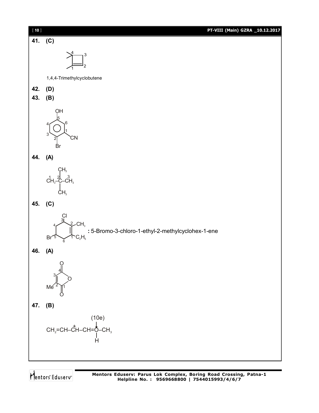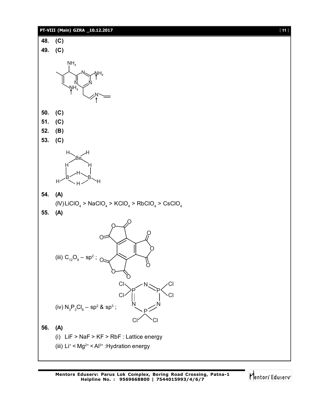# **PT-VIII (Main) GZRA \_10.12.2017** [ **11** ]



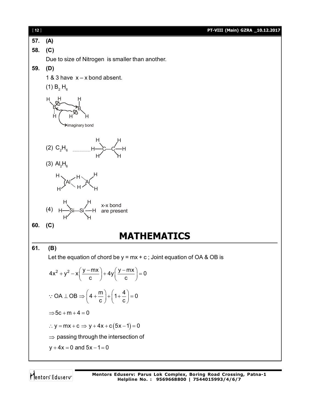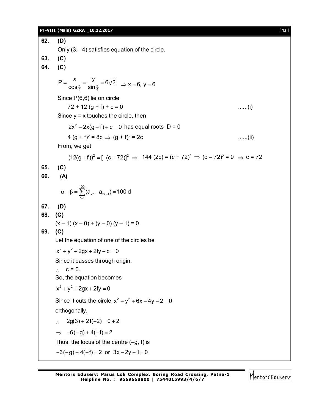### **PT-VIII (Main) GZRA \_10.12.2017** [ **13** ]

**62. (D)** Only (3, –4) satisfies equation of the circle. **63. (C) 64. (C)** 4 UHL 4  $P \equiv \frac{x}{x} = \frac{y}{x} = 6\sqrt{2}$  $\equiv \frac{\kappa}{\cos \frac{\pi}{4}} = \frac{J}{\sin \frac{\pi}{4}} = 6\sqrt{2} \implies x = 6, y = 6$ Since P(6,6) lie on circle  $72 + 12 (g + f) + c = 0$  ......(i) Since  $y = x$  touches the circle, then  $2x^2 + 2x(g + f) + c = 0$  has equal roots  $D = 0$ 4 (g + f)<sup>2</sup> = 8c  $\Rightarrow$  (g + f)<sup>2</sup>  $\ldots$ .....(ii) From, we get  $(12(g + f))^2 = [-(c + 72)]^2 \Rightarrow 144 (2c) = (c + 72)^2 \Rightarrow (c - 72)^2 = 0 \Rightarrow c = 72$ **65. (C) 66. (A)** 100  $\alpha - \beta = \sum_{r=1}^{\infty} (a_{2r} - a_{2r-1}) = 100$  d **67. (D) 68. (C)**  $(x - 1)(x - 0) + (y - 0)(y - 1) = 0$ **69. (C)** Let the equation of one of the circles be  $x^2 + y^2 + 2gx + 2fy + c = 0$ Since it passes through origin,  $\therefore$  c = 0. So, the equation becomes  $x^2 + y^2 + 2gx + 2fy = 0$ Since it cuts the circle  $x^2 + y^2 + 6x - 4y + 2 = 0$ orthogonally,  $\therefore$  2g(3) + 2f(-2) = 0 + 2  $\Rightarrow$   $-6(-g) + 4(-f) = 2$ Thus, the locus of the centre  $(-q, f)$  is  $-6(-g) + 4(-f) = 2$  or  $3x - 2y + 1 = 0$ 

Mentors Eduserv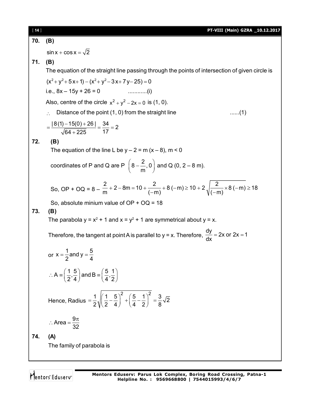| $[14]$ | PT-VIII (Main) GZRA _10.12.2017                                                                                                                 |  |  |  |  |  |
|--------|-------------------------------------------------------------------------------------------------------------------------------------------------|--|--|--|--|--|
| 70.    | (B)                                                                                                                                             |  |  |  |  |  |
|        | $\sin x + \cos x = \sqrt{2}$                                                                                                                    |  |  |  |  |  |
| 71.    | (B)                                                                                                                                             |  |  |  |  |  |
|        | The equation of the straight line passing through the points of intersection of given circle is                                                 |  |  |  |  |  |
|        | $(x^{2}+y^{2}+5x+1)-(x^{2}+y^{2}-3x+7y-25)=0$                                                                                                   |  |  |  |  |  |
|        | i.e., $8x - 15y + 26 = 0$                                                                                                                       |  |  |  |  |  |
|        | Also, centre of the circle $x^2 + y^2 - 2x = 0$ is (1, 0).                                                                                      |  |  |  |  |  |
|        | Distance of the point (1, 0) from the straight line<br>(1)                                                                                      |  |  |  |  |  |
|        | $=\frac{8(1)-15(0)+26}{\sqrt{64+225}}=\frac{34}{17}=2$                                                                                          |  |  |  |  |  |
| 72.    | (B)                                                                                                                                             |  |  |  |  |  |
|        | The equation of the line L be $y - 2 = m(x - 8)$ , m < 0                                                                                        |  |  |  |  |  |
|        | coordinates of P and Q are P $\left(8-\frac{2}{m},0\right)$ and Q (0, 2 – 8 m).                                                                 |  |  |  |  |  |
|        | So, OP + OQ = $8 - \frac{2}{m}$ + 2 - 8m = 10 + $\frac{2}{(-m)}$ + 8 (-m) ≥ 10 + 2 $\sqrt{\frac{2}{(-m)}}$ × 8 (-m) ≥ 18                        |  |  |  |  |  |
|        | So, absolute minium value of $OP + OQ = 18$                                                                                                     |  |  |  |  |  |
| 73.    | (B)<br>The parabola $y = x^2 + 1$ and $x = y^2 + 1$ are symmetrical about $y = x$ .                                                             |  |  |  |  |  |
|        | Therefore, the tangent at point A is parallel to $y = x$ . Therefore, $\frac{dy}{dx} = 2x$ or $2x = 1$                                          |  |  |  |  |  |
|        | or $x = \frac{1}{2}$ and $y = \frac{5}{4}$                                                                                                      |  |  |  |  |  |
|        | $\therefore$ A = $\left(\frac{1}{2}, \frac{5}{4}\right)$ and B = $\left(\frac{5}{4}, \frac{1}{2}\right)$                                        |  |  |  |  |  |
|        | Hence, Radius = $\frac{1}{2} \sqrt{\left(\frac{1}{2} - \frac{5}{4}\right)^2 + \left(\frac{5}{4} - \frac{1}{2}\right)^2} = \frac{3}{8} \sqrt{2}$ |  |  |  |  |  |
|        | : Area = $\frac{9\pi}{32}$                                                                                                                      |  |  |  |  |  |
| 74.    | (A)                                                                                                                                             |  |  |  |  |  |
|        | The family of parabola is                                                                                                                       |  |  |  |  |  |
|        |                                                                                                                                                 |  |  |  |  |  |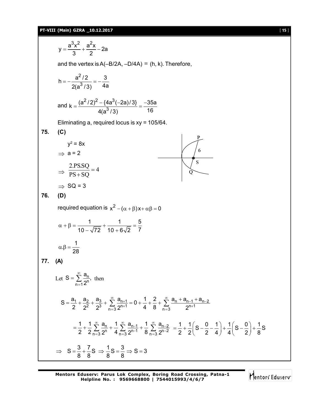# **PT-VIII (Main) GZRA \_10.12.2017** [ 15 ]

$$
y = \frac{a^3x^2}{3} + \frac{a^2x}{2} - 2a
$$
  
\nand the vertex is A(-B/ZA, -D/AA) = (h, k). Therefore,  
\n
$$
h = -\frac{a^2/2}{2(a^3/3)} = -\frac{3}{4a}
$$
  
\nand  $k = \frac{(a^2/2)^2 - (4a^3(-2a)/3)}{4(a^3/3)} = \frac{-35a}{16}$   
\nEliminating a, required locus is xy = 105/64.  
\n75. (C)  
\n
$$
y^2 = 8x
$$
  
\n $\Rightarrow a = 2$   
\n $\Rightarrow \frac{2 \text{PSS}_Q}{\text{PSS} + \text{SQ}} = 4$   
\n $\Rightarrow \text{SQ} = 3$   
\n76. (D)  
\nrequired equation is  $x^2 - (\alpha + \beta)x + \alpha\beta = 0$   
\n $\alpha + \beta = \frac{1}{10 - \sqrt{72}} + \frac{1}{10 + 6\sqrt{2}} = \frac{5}{7}$   
\n $\alpha + \beta = \frac{1}{28}$   
\n77. (A)  
\nLet  $S = \sum_{n=1}^{\infty} \frac{a_n}{2^n}$ , then  
\n
$$
S = \frac{a_1}{2} + \frac{a_2}{2} + \frac{a_3}{2} + \frac{x}{n-3} + \frac{a_{n+1}}{2^{n+1}} = 0 + \frac{1}{4} + \frac{2}{8} + \sum_{n=3}^{\infty} \frac{a_n + a_{n-1} + a_{n-2}}{2^{n+1}}
$$
  
\n $= \frac{1}{2} + \frac{1}{2} \sum_{n=3}^{\infty} \frac{a_n}{2^n} + \frac{1}{4} \sum_{n=3}^{\infty} \frac{a_{n-1}}{2^{n+1}} = 0 + \frac{1}{4} + \frac{2}{8} + \sum_{n=3}^{\infty} \frac{a_n + a_{n-1} + a_{n-2}}{2^{n+1}}$   
\n $= \frac{1}{2} + \frac{1}{2} \sum_{n=3}^{\infty} \frac{a_n}{2^n} + \frac{1}{4} \sum_{n=3}^{\infty} \frac{a_{n-1}}{2^{n-1}}$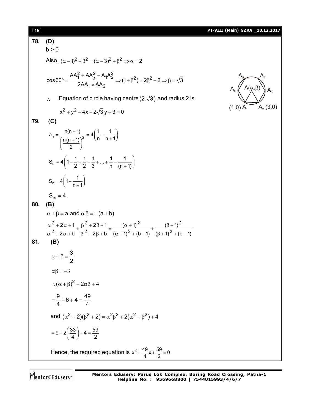| [16] |                                                                                                                                                                                                               | PT-VIII (Main) GZRA _10.12.2017        |
|------|---------------------------------------------------------------------------------------------------------------------------------------------------------------------------------------------------------------|----------------------------------------|
| 78.  | (D)                                                                                                                                                                                                           |                                        |
|      | b > 0                                                                                                                                                                                                         |                                        |
|      | Also, $(\alpha - 1)^2 + \beta^2 = (\alpha - 3)^2 + \beta^2 \Rightarrow \alpha = 2$                                                                                                                            |                                        |
|      | $\cos 60^\circ = \frac{AA_1^2 + AA_2^2 - A_1A_2^2}{2AA_4 \times AA_2} \Rightarrow (1+\beta^2) = 2\beta^2 - 2 \Rightarrow \beta = \sqrt{3}$                                                                    | $A(\alpha,\beta)$                      |
|      | Equation of circle having centre $(2,\sqrt{3})$ and radius 2 is<br>$\therefore$                                                                                                                               |                                        |
|      | $x^{2} + y^{2} - 4x - 2\sqrt{3}y + 3 = 0$                                                                                                                                                                     | $A_{2}(3,0)$<br>$(1,0)$ A <sub>1</sub> |
| 79.  | (C)                                                                                                                                                                                                           |                                        |
|      | $a_n = \frac{n(n+1)}{\left(\frac{n(n+1)}{2}\right)^2} = 4\left(\frac{1}{n} - \frac{1}{n+1}\right)$                                                                                                            |                                        |
|      | $S_n = 4\left(1-\frac{1}{2}+\frac{1}{2}-\frac{1}{3}+\ldots+\frac{1}{n}-\frac{1}{(n+1)}\right)$                                                                                                                |                                        |
|      | $S_n = 4\left(1 - \frac{1}{n+1}\right)$                                                                                                                                                                       |                                        |
|      | $S_{\infty} = 4$ .                                                                                                                                                                                            |                                        |
| 80.  | (B)                                                                                                                                                                                                           |                                        |
|      | $\alpha + \beta = a$ and $\alpha \beta = -(a + b)$                                                                                                                                                            |                                        |
|      | $\frac{\alpha^2 + 2\alpha + 1}{\alpha^2 + 2\alpha + b} + \frac{\beta^2 + 2\beta + 1}{\beta^2 + 2\beta + b} = \frac{(\alpha + 1)^2}{(\alpha + 1)^2 + (b - 1)} + \frac{(\beta + 1)^2}{(\beta + 1)^2 + (b - 1)}$ |                                        |
|      |                                                                                                                                                                                                               |                                        |
| 81.  | (B)                                                                                                                                                                                                           |                                        |
|      | $\alpha + \beta = \frac{3}{2}$                                                                                                                                                                                |                                        |
|      | $\alpha\beta = -3$                                                                                                                                                                                            |                                        |
|      | $\therefore (\alpha + \beta)^2 - 2\alpha\beta + 4$                                                                                                                                                            |                                        |
|      | $=\frac{9}{4}+6+4=\frac{49}{4}$                                                                                                                                                                               |                                        |
|      | and $(\alpha^2 + 2)(\beta^2 + 2) = \alpha^2 \beta^2 + 2(\alpha^2 + \beta^2) + 4$                                                                                                                              |                                        |
|      | $=9+2\left(\frac{33}{4}\right)+4=\frac{59}{2}$                                                                                                                                                                |                                        |
|      | Hence, the required equation is $x^2 - \frac{49}{4}x + \frac{59}{2} = 0$                                                                                                                                      |                                        |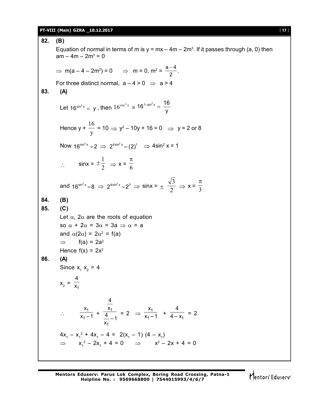### **PT-VIII (Main) GZRA \_10.12.2017** [ **17** ]

**82. (B)**

Equation of normal in terms of m is  $y = mx - 4m - 2m^3$ . If it passes through (a, 0) then  $am - 4m - 2m^3 = 0$ ⇒ m(a – 4 – 2m<sup>2</sup>) = 0 ⇒ m = 0, m<sup>2</sup> =  $\frac{a-4}{2}$ 2  $\frac{-4}{2}$ . For three distinct normal,  $a - 4 > 0 \Rightarrow a > 4$ **83. (A)** Let 16<sup>sin<sup>2</sup>x</sup> = y, then  $16^{\cos^2 x}$  = 16<sup>1-sin<sup>2</sup>x =  $\frac{16}{y}$ </sup> y  $e^{-\sin^2 x} =$ Hence y + y 16  $= 10 \Rightarrow y^2 - 10y + 16 = 0 \Rightarrow y = 2 \text{ or } 8$ Now  $16^{\sin^2 x} = 2 \implies 2^{4\sin^2 x} = (2)^1 \implies 4\sin^2 x = 1$  $\therefore$  sinx =  $\pm \frac{1}{2}$  $\pm \frac{1}{2}$   $\Rightarrow$  x =  $\frac{\pi}{6}$ and  $16^{\sin^2 x} = 8 \implies 2^{4\sin^2 x} = 2^3 \implies \sin x = \pm \frac{\sqrt{3}}{2}$ 3  $\Rightarrow$  x =  $\frac{1}{3}$  $\pi$ **84. (B) 85. (C)** Let  $\alpha$ ,  $2\alpha$  are the roots of equation so  $\alpha + 2\alpha = 3\alpha = 3a \Rightarrow \alpha = a$ and  $\alpha(2\alpha) = 2\alpha^2 = f(a)$  $\Rightarrow$  f(a) = 2a<sup>2</sup> Hence  $f(x) = 2x^2$ **86. (A)** Since  $x_1$   $x_2$  = 4  $x_2 = \frac{1}{x_1}$ 4 x  $\therefore \frac{x_1}{x_1-1}$ 1 x  $\frac{x_1}{x_1-1} + \frac{x_1}{4}$ 1 4 x  $\frac{4}{x_1}$  – 1  $= 2 \Rightarrow \frac{\lambda_1}{\lambda_1 - \lambda_2}$ 1 x  $\frac{1}{x_1-1}$  +  $\frac{1}{4-x_1}$ 4  $\frac{1}{4-x_1}$  = 2  $4x_1 - x_1^2 + 4x_1 - 4 = 2(x_1 - 1) (4 - x_1)$  $\Rightarrow$   $x_1^2 - 2x_1 + 4 = 0$   $\Rightarrow$   $x^2 - 2x + 4 = 0$